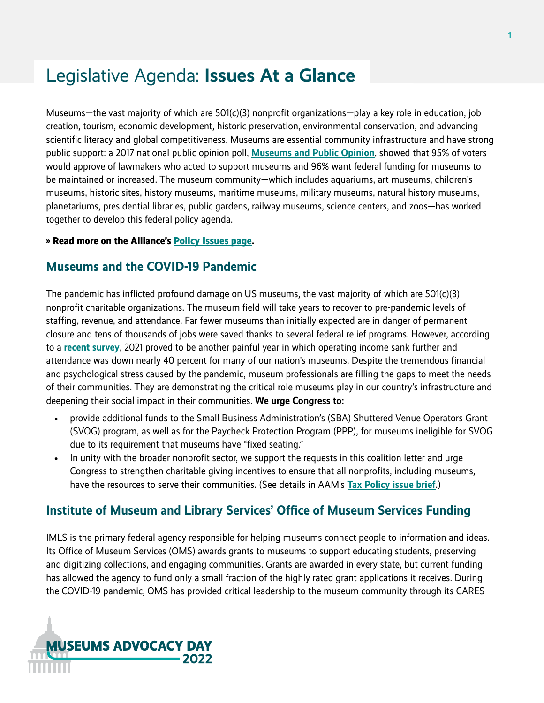# Legislative Agenda: **Issues At a Glance**

Museums—the vast majority of which are 501(c)(3) nonprofit organizations—play a key role in education, job creation, tourism, economic development, historic preservation, environmental conservation, and advancing scientific literacy and global competitiveness. Museums are essential community infrastructure and have strong public support: a 2017 national public opinion poll, **[Museums and Public Opinion](https://www.aam-us.org/2018/01/20/museums-and-public-opinion/)**, showed that 95% of voters would approve of lawmakers who acted to support museums and 96% want federal funding for museums to be maintained or increased. The museum community—which includes aquariums, art museums, children's museums, historic sites, history museums, maritime museums, military museums, natural history museums, planetariums, presidential libraries, public gardens, railway museums, science centers, and zoos—has worked together to develop this federal policy agenda.

#### **» Read more on the Alliance's [Policy Issues page.](https://www.aam-us.org/programs/advocacy/policy-issues/)**

#### **Museums and the COVID-19 Pandemic**

The pandemic has inflicted profound damage on US museums, the vast majority of which are 501(c)(3) nonprofit charitable organizations. The museum field will take years to recover to pre-pandemic levels of staffing, revenue, and attendance. Far fewer museums than initially expected are in danger of permanent closure and tens of thousands of jobs were saved thanks to several federal relief programs. However, according to a **[recent survey](https://www.aam-us.org/2022/02/08/museum-field-experiencing-compounding-financial-losses-new-survey-reveals/)**, 2021 proved to be another painful year in which operating income sank further and attendance was down nearly 40 percent for many of our nation's museums. Despite the tremendous financial and psychological stress caused by the pandemic, museum professionals are filling the gaps to meet the needs of their communities. They are demonstrating the critical role museums play in our country's infrastructure and deepening their social impact in their communities. **We urge Congress to:**

- provide additional funds to the Small Business Administration's (SBA) Shuttered Venue Operators Grant (SVOG) program, as well as for the Paycheck Protection Program (PPP), for museums ineligible for SVOG due to its requirement that museums have "fixed seating."
- In unity with the broader nonprofit sector, we support the requests in this coalition letter and urge Congress to strengthen charitable giving incentives to ensure that all nonprofits, including museums, have the resources to serve their communities. (See details in AAM's **[Tax Policy issue brief](https://www.aam-us.org/programs/advocacy/issue-tax-policy/)**.)

### **Institute of Museum and Library Services' Office of Museum Services Funding**

IMLS is the primary federal agency responsible for helping museums connect people to information and ideas. Its Office of Museum Services (OMS) awards grants to museums to support educating students, preserving and digitizing collections, and engaging communities. Grants are awarded in every state, but current funding has allowed the agency to fund only a small fraction of the highly rated grant applications it receives. During the COVID-19 pandemic, OMS has provided critical leadership to the museum community through its CARES

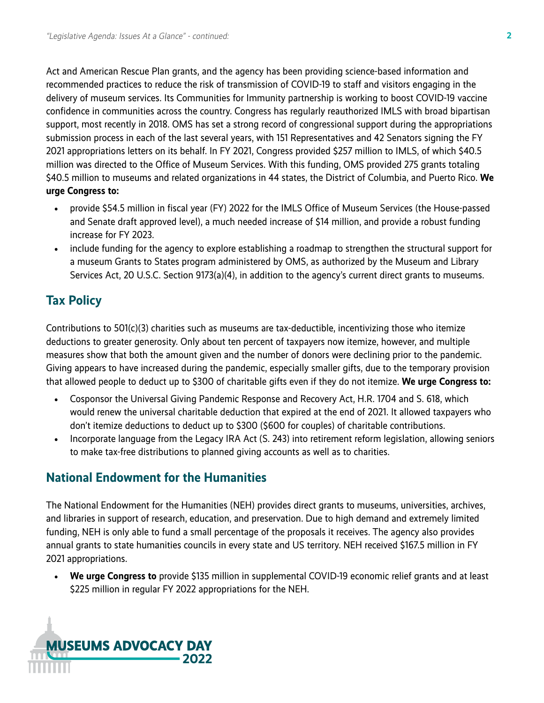Act and American Rescue Plan grants, and the agency has been providing science-based information and recommended practices to reduce the risk of transmission of COVID-19 to staff and visitors engaging in the delivery of museum services. Its Communities for Immunity partnership is working to boost COVID-19 vaccine confidence in communities across the country. Congress has regularly reauthorized IMLS with broad bipartisan support, most recently in 2018. OMS has set a strong record of congressional support during the appropriations submission process in each of the last several years, with 151 Representatives and 42 Senators signing the FY 2021 appropriations letters on its behalf. In FY 2021, Congress provided \$257 million to IMLS, of which \$40.5 million was directed to the Office of Museum Services. With this funding, OMS provided 275 grants totaling \$40.5 million to museums and related organizations in 44 states, the District of Columbia, and Puerto Rico. **We urge Congress to:**

- provide \$54.5 million in fiscal year (FY) 2022 for the IMLS Office of Museum Services (the House-passed and Senate draft approved level), a much needed increase of \$14 million, and provide a robust funding increase for FY 2023.
- include funding for the agency to explore establishing a roadmap to strengthen the structural support for a museum Grants to States program administered by OMS, as authorized by the Museum and Library Services Act, 20 U.S.C. Section 9173(a)(4), in addition to the agency's current direct grants to museums.

## **Tax Policy**

Contributions to 501(c)(3) charities such as museums are tax-deductible, incentivizing those who itemize deductions to greater generosity. Only about ten percent of taxpayers now itemize, however, and multiple measures show that both the amount given and the number of donors were declining prior to the pandemic. Giving appears to have increased during the pandemic, especially smaller gifts, due to the temporary provision that allowed people to deduct up to \$300 of charitable gifts even if they do not itemize. **We urge Congress to:**

- Cosponsor the Universal Giving Pandemic Response and Recovery Act, H.R. 1704 and S. 618, which would renew the universal charitable deduction that expired at the end of 2021. It allowed taxpayers who don't itemize deductions to deduct up to \$300 (\$600 for couples) of charitable contributions.
- Incorporate language from the Legacy IRA Act (S. 243) into retirement reform legislation, allowing seniors to make tax-free distributions to planned giving accounts as well as to charities.

## **National Endowment for the Humanities**

The National Endowment for the Humanities (NEH) provides direct grants to museums, universities, archives, and libraries in support of research, education, and preservation. Due to high demand and extremely limited funding, NEH is only able to fund a small percentage of the proposals it receives. The agency also provides annual grants to state humanities councils in every state and US territory. NEH received \$167.5 million in FY 2021 appropriations.

• **We urge Congress to** provide \$135 million in supplemental COVID-19 economic relief grants and at least \$225 million in regular FY 2022 appropriations for the NEH.

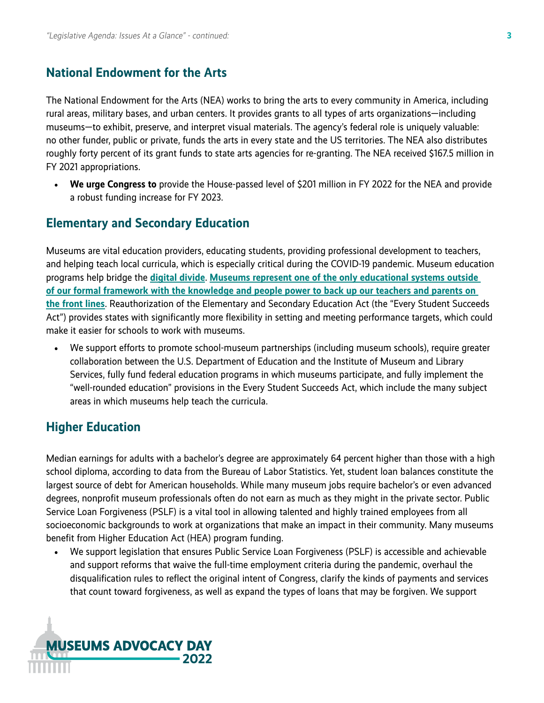#### **National Endowment for the Arts**

The National Endowment for the Arts (NEA) works to bring the arts to every community in America, including rural areas, military bases, and urban centers. It provides grants to all types of arts organizations—including museums—to exhibit, preserve, and interpret visual materials. The agency's federal role is uniquely valuable: no other funder, public or private, funds the arts in every state and the US territories. The NEA also distributes roughly forty percent of its grant funds to state arts agencies for re-granting. The NEA received \$167.5 million in FY 2021 appropriations.

• **We urge Congress to** provide the House-passed level of \$201 million in FY 2022 for the NEA and provide a robust funding increase for FY 2023.

#### **Elementary and Secondary Education**

Museums are vital education providers, educating students, providing professional development to teachers, and helping teach local curricula, which is especially critical during the COVID-19 pandemic. Museum education programs help bridge the **[digital divide](https://www.aam-us.org/2021/11/19/how-can-education-programs-help-bridge-the-digital-divide/)**. **[Museums represent one of the only educational systems outside](https://news.artnet.com/opinion/schools-are-in-crisis-museums-can-help-fill-the-gap-but-only-if-they-survive-1916821)  [of our formal framework with the knowledge and people power to back up our teachers and parents on](https://news.artnet.com/opinion/schools-are-in-crisis-museums-can-help-fill-the-gap-but-only-if-they-survive-1916821)  [the front lines](https://news.artnet.com/opinion/schools-are-in-crisis-museums-can-help-fill-the-gap-but-only-if-they-survive-1916821)**. Reauthorization of the Elementary and Secondary Education Act (the "Every Student Succeeds Act") provides states with significantly more flexibility in setting and meeting performance targets, which could make it easier for schools to work with museums.

• We support efforts to promote school-museum partnerships (including museum schools), require greater collaboration between the U.S. Department of Education and the Institute of Museum and Library Services, fully fund federal education programs in which museums participate, and fully implement the "well-rounded education" provisions in the Every Student Succeeds Act, which include the many subject areas in which museums help teach the curricula.

#### **Higher Education**

Median earnings for adults with a bachelor's degree are approximately 64 percent higher than those with a high school diploma, according to data from the Bureau of Labor Statistics. Yet, student loan balances constitute the largest source of debt for American households. While many museum jobs require bachelor's or even advanced degrees, nonprofit museum professionals often do not earn as much as they might in the private sector. Public Service Loan Forgiveness (PSLF) is a vital tool in allowing talented and highly trained employees from all socioeconomic backgrounds to work at organizations that make an impact in their community. Many museums benefit from Higher Education Act (HEA) program funding.

• We support legislation that ensures Public Service Loan Forgiveness (PSLF) is accessible and achievable and support reforms that waive the full-time employment criteria during the pandemic, overhaul the disqualification rules to reflect the original intent of Congress, clarify the kinds of payments and services that count toward forgiveness, as well as expand the types of loans that may be forgiven. We support

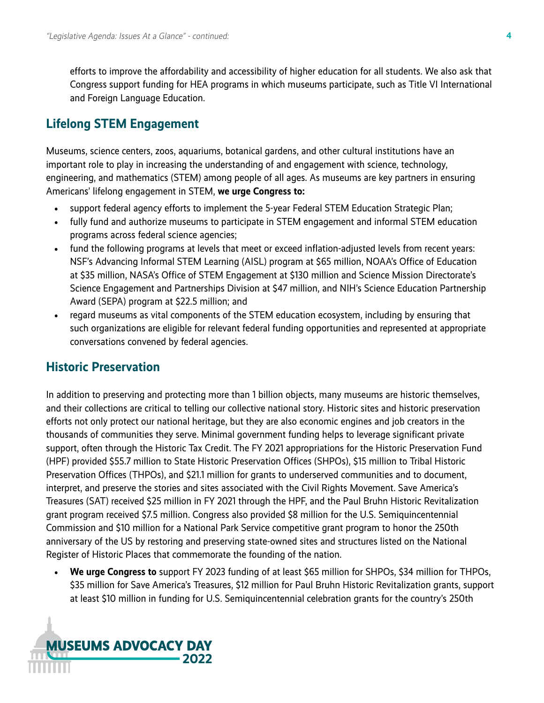efforts to improve the affordability and accessibility of higher education for all students. We also ask that Congress support funding for HEA programs in which museums participate, such as Title VI International and Foreign Language Education.

### **Lifelong STEM Engagement**

Museums, science centers, zoos, aquariums, botanical gardens, and other cultural institutions have an important role to play in increasing the understanding of and engagement with science, technology, engineering, and mathematics (STEM) among people of all ages. As museums are key partners in ensuring Americans' lifelong engagement in STEM, **we urge Congress to:**

- support federal agency efforts to implement the 5-year Federal STEM Education Strategic Plan;
- fully fund and authorize museums to participate in STEM engagement and informal STEM education programs across federal science agencies;
- fund the following programs at levels that meet or exceed inflation-adjusted levels from recent years: NSF's Advancing Informal STEM Learning (AISL) program at \$65 million, NOAA's Office of Education at \$35 million, NASA's Office of STEM Engagement at \$130 million and Science Mission Directorate's Science Engagement and Partnerships Division at \$47 million, and NIH's Science Education Partnership Award (SEPA) program at \$22.5 million; and
- regard museums as vital components of the STEM education ecosystem, including by ensuring that such organizations are eligible for relevant federal funding opportunities and represented at appropriate conversations convened by federal agencies.

#### **Historic Preservation**

In addition to preserving and protecting more than 1 billion objects, many museums are historic themselves, and their collections are critical to telling our collective national story. Historic sites and historic preservation efforts not only protect our national heritage, but they are also economic engines and job creators in the thousands of communities they serve. Minimal government funding helps to leverage significant private support, often through the Historic Tax Credit. The FY 2021 appropriations for the Historic Preservation Fund (HPF) provided \$55.7 million to State Historic Preservation Offices (SHPOs), \$15 million to Tribal Historic Preservation Offices (THPOs), and \$21.1 million for grants to underserved communities and to document, interpret, and preserve the stories and sites associated with the Civil Rights Movement. Save America's Treasures (SAT) received \$25 million in FY 2021 through the HPF, and the Paul Bruhn Historic Revitalization grant program received \$7.5 million. Congress also provided \$8 million for the U.S. Semiquincentennial Commission and \$10 million for a National Park Service competitive grant program to honor the 250th anniversary of the US by restoring and preserving state-owned sites and structures listed on the National Register of Historic Places that commemorate the founding of the nation.

• **We urge Congress to** support FY 2023 funding of at least \$65 million for SHPOs, \$34 million for THPOs, \$35 million for Save America's Treasures, \$12 million for Paul Bruhn Historic Revitalization grants, support at least \$10 million in funding for U.S. Semiquincentennial celebration grants for the country's 250th

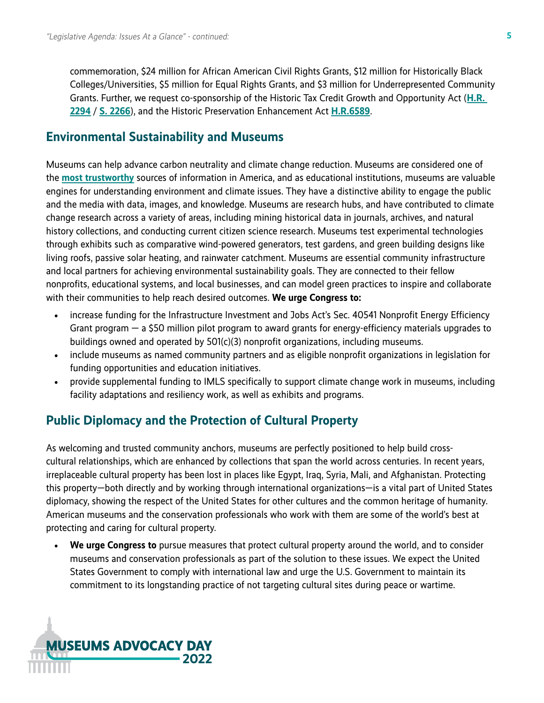commemoration, \$24 million for African American Civil Rights Grants, \$12 million for Historically Black Colleges/Universities, \$5 million for Equal Rights Grants, and \$3 million for Underrepresented Community Grants. Further, we request co-sponsorship of the Historic Tax Credit Growth and Opportunity Act (**[H.R.](https://www.congress.gov/bill/117th-congress/house-bill/2294?q=%7B%22search%22%3A%5B%22HR+2294%22%2C%22HR%22%2C%222294%22%5D%7D&s=6&r=1)  [2294](https://www.congress.gov/bill/117th-congress/house-bill/2294?q=%7B%22search%22%3A%5B%22HR+2294%22%2C%22HR%22%2C%222294%22%5D%7D&s=6&r=1)** / **[S. 2266](https://www.congress.gov/bill/117th-congress/senate-bill/2266?q=%7B%22search%22%3A%5B%22s2266%22%2C%22s2266%22%5D%7D&s=10&r=1)**), and the Historic Preservation Enhancement Act **[H.R.6589](https://www.congress.gov/bill/117th-congress/house-bill/6589?r=1&s=2)**.

#### **Environmental Sustainability and Museums**

Museums can help advance carbon neutrality and climate change reduction. Museums are considered one of the **[most trustworthy](https://www.aam-us.org/2021/09/30/museums-and-trust-2021/)** sources of information in America, and as educational institutions, museums are valuable engines for understanding environment and climate issues. They have a distinctive ability to engage the public and the media with data, images, and knowledge. Museums are research hubs, and have contributed to climate change research across a variety of areas, including mining historical data in journals, archives, and natural history collections, and conducting current citizen science research. Museums test experimental technologies through exhibits such as comparative wind-powered generators, test gardens, and green building designs like living roofs, passive solar heating, and rainwater catchment. Museums are essential community infrastructure and local partners for achieving environmental sustainability goals. They are connected to their fellow nonprofits, educational systems, and local businesses, and can model green practices to inspire and collaborate with their communities to help reach desired outcomes. **We urge Congress to:** 

- increase funding for the Infrastructure Investment and Jobs Act's Sec. 40541 Nonprofit Energy Efficiency Grant program — a \$50 million pilot program to award grants for energy-efficiency materials upgrades to buildings owned and operated by 501(c)(3) nonprofit organizations, including museums.
- include museums as named community partners and as eligible nonprofit organizations in legislation for funding opportunities and education initiatives.
- provide supplemental funding to IMLS specifically to support climate change work in museums, including facility adaptations and resiliency work, as well as exhibits and programs.

#### **Public Diplomacy and the Protection of Cultural Property**

As welcoming and trusted community anchors, museums are perfectly positioned to help build crosscultural relationships, which are enhanced by collections that span the world across centuries. In recent years, irreplaceable cultural property has been lost in places like Egypt, Iraq, Syria, Mali, and Afghanistan. Protecting this property—both directly and by working through international organizations—is a vital part of United States diplomacy, showing the respect of the United States for other cultures and the common heritage of humanity. American museums and the conservation professionals who work with them are some of the world's best at protecting and caring for cultural property.

• **We urge Congress to** pursue measures that protect cultural property around the world, and to consider museums and conservation professionals as part of the solution to these issues. We expect the United States Government to comply with international law and urge the U.S. Government to maintain its commitment to its longstanding practice of not targeting cultural sites during peace or wartime.